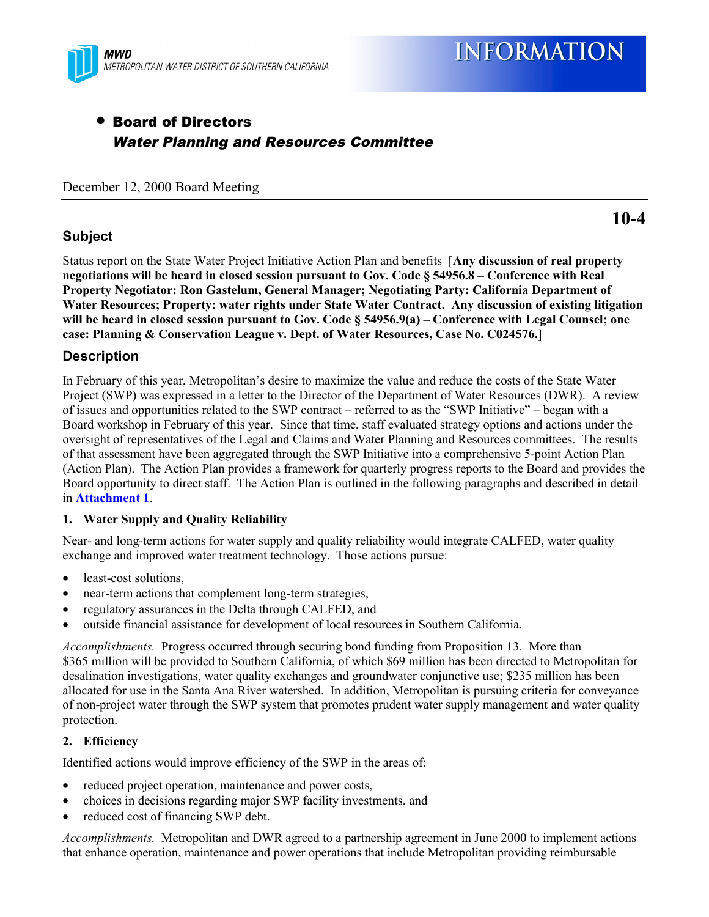

# • Board of Directors Water Planning and Resources Committee

December 12, 2000 Board Meeting

#### **Subject**

**10-4**

Status report on the State Water Project Initiative Action Plan and benefits [**Any discussion of real property negotiations will be heard in closed session pursuant to Gov. Code § 54956.8 – Conference with Real Property Negotiator: Ron Gastelum, General Manager; Negotiating Party: California Department of Water Resources; Property: water rights under State Water Contract. Any discussion of existing litigation will be heard in closed session pursuant to Gov. Code § 54956.9(a) – Conference with Legal Counsel; one case: Planning & Conservation League v. Dept. of Water Resources, Case No. C024576.**]

### **Description**

In February of this year, Metropolitan's desire to maximize the value and reduce the costs of the State Water Project (SWP) was expressed in a letter to the Director of the Department of Water Resources (DWR). A review of issues and opportunities related to the SWP contract – referred to as the "SWP Initiative" – began with a Board workshop in February of this year. Since that time, staff evaluated strategy options and actions under the oversight of representatives of the Legal and Claims and Water Planning and Resources committees. The results of that assessment have been aggregated through the SWP Initiative into a comprehensive 5-point Action Plan (Action Plan). The Action Plan provides a framework for quarterly progress reports to the Board and provides the Board opportunity to direct staff. The Action Plan is outlined in the following paragraphs and described in detail in **Attachment 1**.

#### **1. Water Supply and Quality Reliability**

Near- and long-term actions for water supply and quality reliability would integrate CALFED, water quality exchange and improved water treatment technology. Those actions pursue:

- least-cost solutions,
- near-term actions that complement long-term strategies,
- regulatory assurances in the Delta through CALFED, and
- outside financial assistance for development of local resources in Southern California.

*Accomplishments.* Progress occurred through securing bond funding from Proposition 13. More than \$365 million will be provided to Southern California, of which \$69 million has been directed to Metropolitan for desalination investigations, water quality exchanges and groundwater conjunctive use; \$235 million has been allocated for use in the Santa Ana River watershed. In addition, Metropolitan is pursuing criteria for conveyance of non-project water through the SWP system that promotes prudent water supply management and water quality protection.

#### **2. Efficiency**

Identified actions would improve efficiency of the SWP in the areas of:

- reduced project operation, maintenance and power costs,
- choices in decisions regarding major SWP facility investments, and
- reduced cost of financing SWP debt.

*Accomplishments.* Metropolitan and DWR agreed to a partnership agreement in June 2000 to implement actions that enhance operation, maintenance and power operations that include Metropolitan providing reimbursable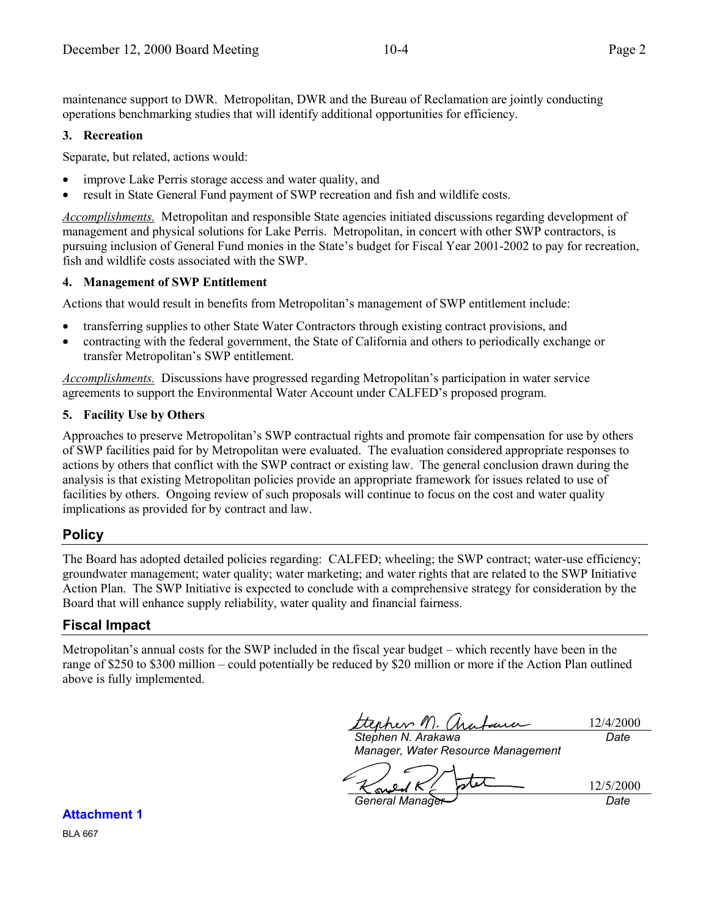maintenance support to DWR. Metropolitan, DWR and the Bureau of Reclamation are jointly conducting operations benchmarking studies that will identify additional opportunities for efficiency.

#### **3. Recreation**

Separate, but related, actions would:

- improve Lake Perris storage access and water quality, and
- result in State General Fund payment of SWP recreation and fish and wildlife costs.

*Accomplishments.* Metropolitan and responsible State agencies initiated discussions regarding development of management and physical solutions for Lake Perris. Metropolitan, in concert with other SWP contractors, is pursuing inclusion of General Fund monies in the State's budget for Fiscal Year 2001-2002 to pay for recreation, fish and wildlife costs associated with the SWP.

#### **4. Management of SWP Entitlement**

Actions that would result in benefits from Metropolitan's management of SWP entitlement include:

- transferring supplies to other State Water Contractors through existing contract provisions, and
- contracting with the federal government, the State of California and others to periodically exchange or transfer Metropolitan's SWP entitlement.

*Accomplishments.* Discussions have progressed regarding Metropolitan's participation in water service agreements to support the Environmental Water Account under CALFED's proposed program.

#### **5. Facility Use by Others**

Approaches to preserve Metropolitan's SWP contractual rights and promote fair compensation for use by others of SWP facilities paid for by Metropolitan were evaluated. The evaluation considered appropriate responses to actions by others that conflict with the SWP contract or existing law. The general conclusion drawn during the analysis is that existing Metropolitan policies provide an appropriate framework for issues related to use of facilities by others. Ongoing review of such proposals will continue to focus on the cost and water quality implications as provided for by contract and law.

## **Policy**

The Board has adopted detailed policies regarding: CALFED; wheeling; the SWP contract; water-use efficiency; groundwater management; water quality; water marketing; and water rights that are related to the SWP Initiative Action Plan. The SWP Initiative is expected to conclude with a comprehensive strategy for consideration by the Board that will enhance supply reliability, water quality and financial fairness.

## **Fiscal Impact**

Metropolitan's annual costs for the SWP included in the fiscal year budget – which recently have been in the range of \$250 to \$300 million – could potentially be reduced by \$20 million or more if the Action Plan outlined above is fully implemented.

tterher M. (habena 12/4/2000

*Stephen N. Arakawa Manager, Water Resource Management*

*Date*

*General Manager Date*

12/5/2000

**Attachment 1** BLA 667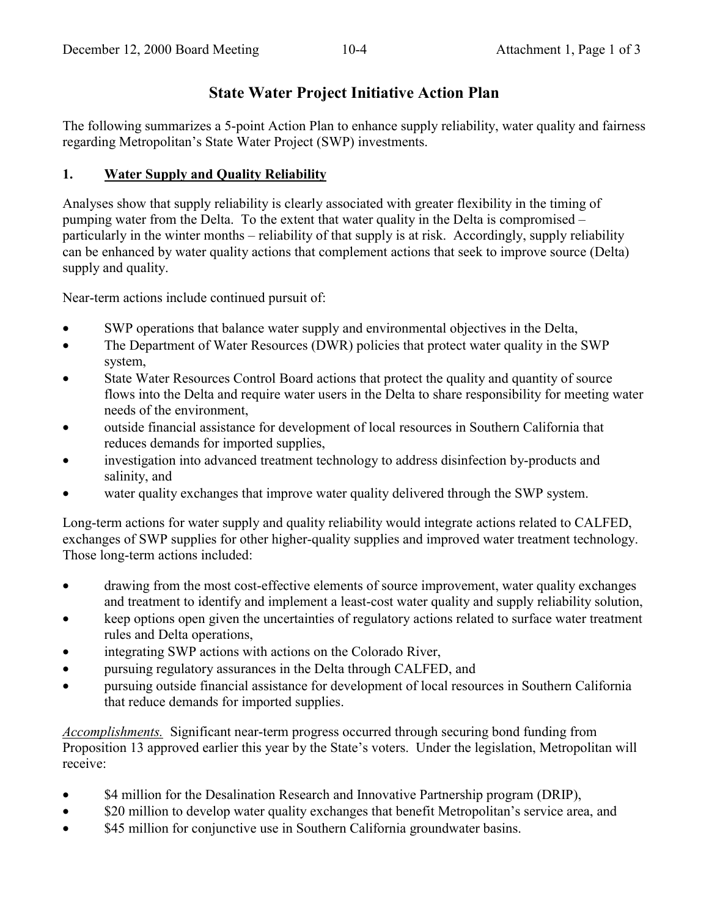# **State Water Project Initiative Action Plan**

The following summarizes a 5-point Action Plan to enhance supply reliability, water quality and fairness regarding Metropolitan's State Water Project (SWP) investments.

### **1. Water Supply and Quality Reliability**

Analyses show that supply reliability is clearly associated with greater flexibility in the timing of pumping water from the Delta. To the extent that water quality in the Delta is compromised – particularly in the winter months – reliability of that supply is at risk. Accordingly, supply reliability can be enhanced by water quality actions that complement actions that seek to improve source (Delta) supply and quality.

Near-term actions include continued pursuit of:

- SWP operations that balance water supply and environmental objectives in the Delta,
- The Department of Water Resources (DWR) policies that protect water quality in the SWP system,
- State Water Resources Control Board actions that protect the quality and quantity of source flows into the Delta and require water users in the Delta to share responsibility for meeting water needs of the environment,
- outside financial assistance for development of local resources in Southern California that reduces demands for imported supplies,
- investigation into advanced treatment technology to address disinfection by-products and salinity, and
- water quality exchanges that improve water quality delivered through the SWP system.

Long-term actions for water supply and quality reliability would integrate actions related to CALFED, exchanges of SWP supplies for other higher-quality supplies and improved water treatment technology. Those long-term actions included:

- drawing from the most cost-effective elements of source improvement, water quality exchanges and treatment to identify and implement a least-cost water quality and supply reliability solution,
- keep options open given the uncertainties of regulatory actions related to surface water treatment rules and Delta operations,
- integrating SWP actions with actions on the Colorado River,
- pursuing regulatory assurances in the Delta through CALFED, and
- pursuing outside financial assistance for development of local resources in Southern California that reduce demands for imported supplies.

*Accomplishments.* Significant near-term progress occurred through securing bond funding from Proposition 13 approved earlier this year by the State's voters. Under the legislation, Metropolitan will receive:

- \$4 million for the Desalination Research and Innovative Partnership program (DRIP),
- \$20 million to develop water quality exchanges that benefit Metropolitan's service area, and
- \$45 million for conjunctive use in Southern California groundwater basins.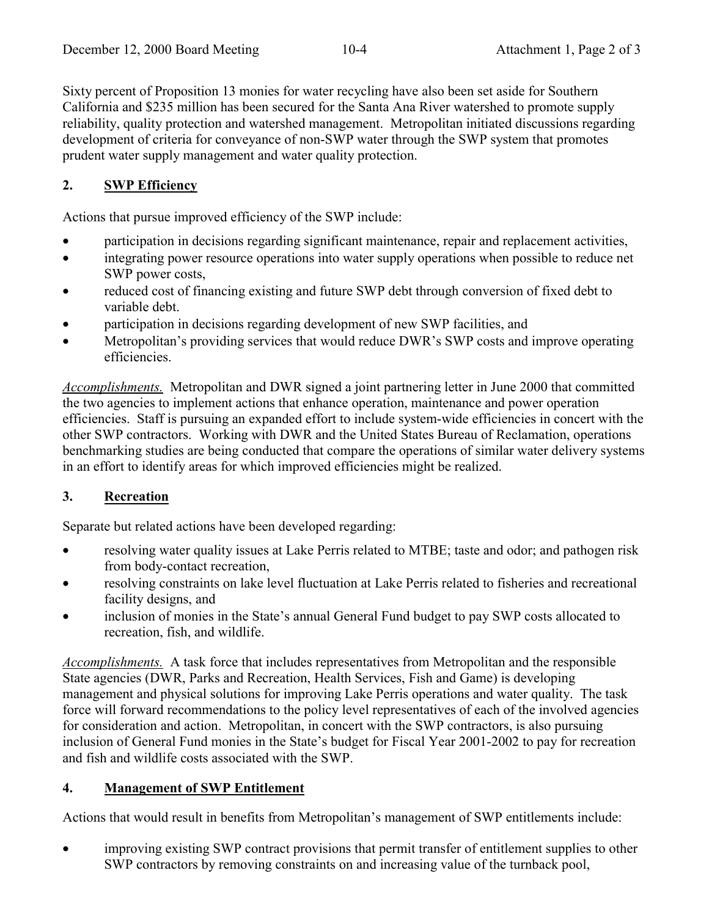Sixty percent of Proposition 13 monies for water recycling have also been set aside for Southern California and \$235 million has been secured for the Santa Ana River watershed to promote supply reliability, quality protection and watershed management. Metropolitan initiated discussions regarding development of criteria for conveyance of non-SWP water through the SWP system that promotes prudent water supply management and water quality protection.

## **2. SWP Efficiency**

Actions that pursue improved efficiency of the SWP include:

- participation in decisions regarding significant maintenance, repair and replacement activities,
- integrating power resource operations into water supply operations when possible to reduce net SWP power costs,
- reduced cost of financing existing and future SWP debt through conversion of fixed debt to variable debt.
- participation in decisions regarding development of new SWP facilities, and
- Metropolitan's providing services that would reduce DWR's SWP costs and improve operating efficiencies.

*Accomplishments.* Metropolitan and DWR signed a joint partnering letter in June 2000 that committed the two agencies to implement actions that enhance operation, maintenance and power operation efficiencies. Staff is pursuing an expanded effort to include system-wide efficiencies in concert with the other SWP contractors. Working with DWR and the United States Bureau of Reclamation, operations benchmarking studies are being conducted that compare the operations of similar water delivery systems in an effort to identify areas for which improved efficiencies might be realized.

## **3. Recreation**

Separate but related actions have been developed regarding:

- resolving water quality issues at Lake Perris related to MTBE; taste and odor; and pathogen risk from body-contact recreation,
- resolving constraints on lake level fluctuation at Lake Perris related to fisheries and recreational facility designs, and
- inclusion of monies in the State's annual General Fund budget to pay SWP costs allocated to recreation, fish, and wildlife.

*Accomplishments.* A task force that includes representatives from Metropolitan and the responsible State agencies (DWR, Parks and Recreation, Health Services, Fish and Game) is developing management and physical solutions for improving Lake Perris operations and water quality. The task force will forward recommendations to the policy level representatives of each of the involved agencies for consideration and action. Metropolitan, in concert with the SWP contractors, is also pursuing inclusion of General Fund monies in the State's budget for Fiscal Year 2001-2002 to pay for recreation and fish and wildlife costs associated with the SWP.

## **4. Management of SWP Entitlement**

Actions that would result in benefits from Metropolitan's management of SWP entitlements include:

• improving existing SWP contract provisions that permit transfer of entitlement supplies to other SWP contractors by removing constraints on and increasing value of the turnback pool,